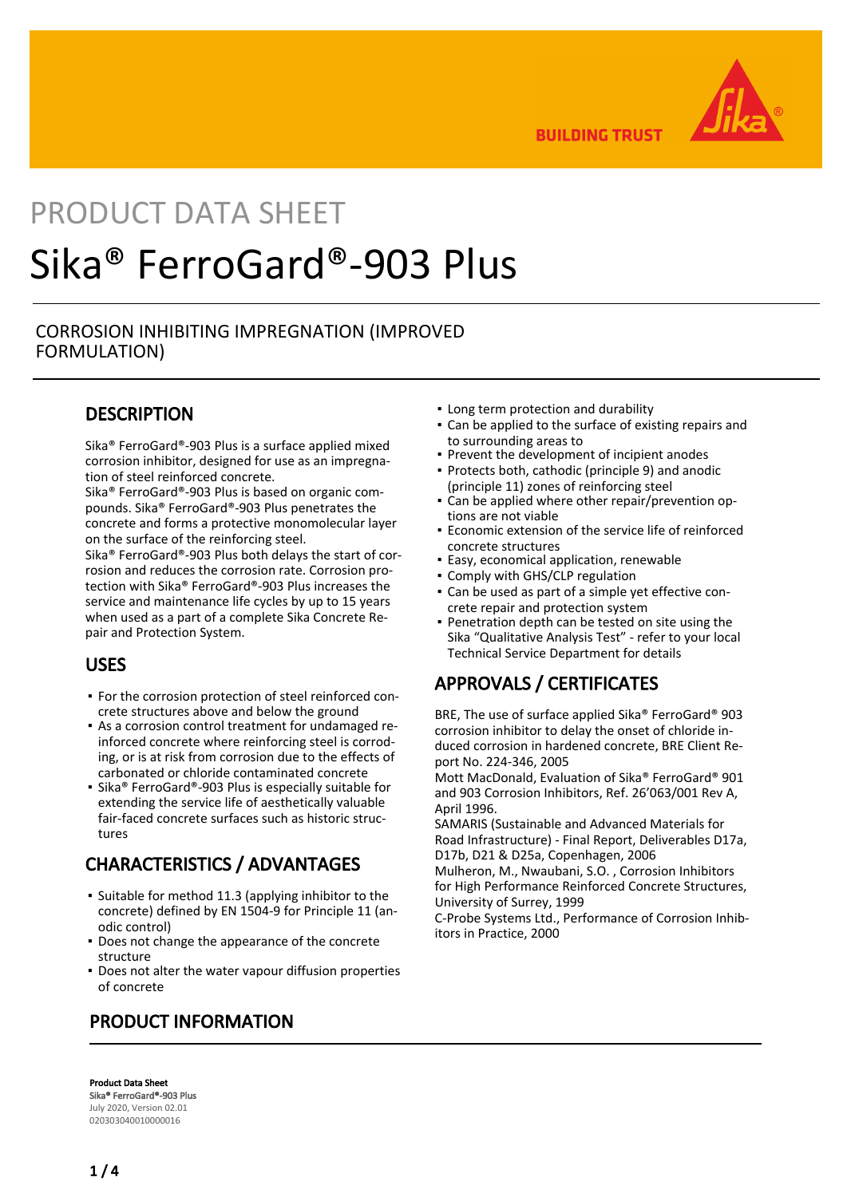

**BUILDING TRUST** 

# PRODUCT DATA SHEET Sika® FerroGard®-903 Plus

### CORROSION INHIBITING IMPREGNATION (IMPROVED FORMULATION)

## **DESCRIPTION**

Sika® FerroGard®-903 Plus is a surface applied mixed corrosion inhibitor, designed for use as an impregnation of steel reinforced concrete.

Sika® FerroGard®-903 Plus is based on organic compounds. Sika® FerroGard®-903 Plus penetrates the concrete and forms a protective monomolecular layer on the surface of the reinforcing steel.

Sika® FerroGard®-903 Plus both delays the start of corrosion and reduces the corrosion rate. Corrosion protection with Sika® FerroGard®-903 Plus increases the service and maintenance life cycles by up to 15 years when used as a part of a complete Sika Concrete Repair and Protection System.

## USES

- For the corrosion protection of steel reinforced con-▪ crete structures above and below the ground
- As a corrosion control treatment for undamaged re-▪ inforced concrete where reinforcing steel is corroding, or is at risk from corrosion due to the effects of carbonated or chloride contaminated concrete
- Sika® FerroGard®-903 Plus is especially suitable for extending the service life of aesthetically valuable fair-faced concrete surfaces such as historic structures

# CHARACTERISTICS / ADVANTAGES

- **.** Suitable for method 11.3 (applying inhibitor to the concrete) defined by EN 1504-9 for Principle 11 (anodic control)
- **Does not change the appearance of the concrete** structure
- **Does not alter the water vapour diffusion properties** of concrete

# PRODUCT INFORMATION

▪ Long term protection and durability

- Can be applied to the surface of existing repairs and to surrounding areas to
- **Prevent the development of incipient anodes**
- Protects both, cathodic (principle 9) and anodic (principle 11) zones of reinforcing steel
- Can be applied where other repair/prevention op-▪ tions are not viable
- **Economic extension of the service life of reinforced** concrete structures
- **Easy, economical application, renewable**
- Comply with GHS/CLP regulation
- Can be used as part of a simple yet effective con-▪ crete repair and protection system
- Penetration depth can be tested on site using the Sika "Qualitative Analysis Test" - refer to your local Technical Service Department for details ▪

# APPROVALS / CERTIFICATES

BRE, The use of surface applied Sika® FerroGard® 903 corrosion inhibitor to delay the onset of chloride induced corrosion in hardened concrete, BRE Client Report No. 224-346, 2005

Mott MacDonald, Evaluation of Sika® FerroGard® 901 and 903 Corrosion Inhibitors, Ref. 26'063/001 Rev A, April 1996.

SAMARIS (Sustainable and Advanced Materials for Road Infrastructure) - Final Report, Deliverables D17a, D17b, D21 & D25a, Copenhagen, 2006

Mulheron, M., Nwaubani, S.O. , Corrosion Inhibitors for High Performance Reinforced Concrete Structures, University of Surrey, 1999

C-Probe Systems Ltd., Performance of Corrosion Inhibitors in Practice, 2000

Product Data Sheet Sika® FerroGard®-903 Plus July 2020, Version 02.01 020303040010000016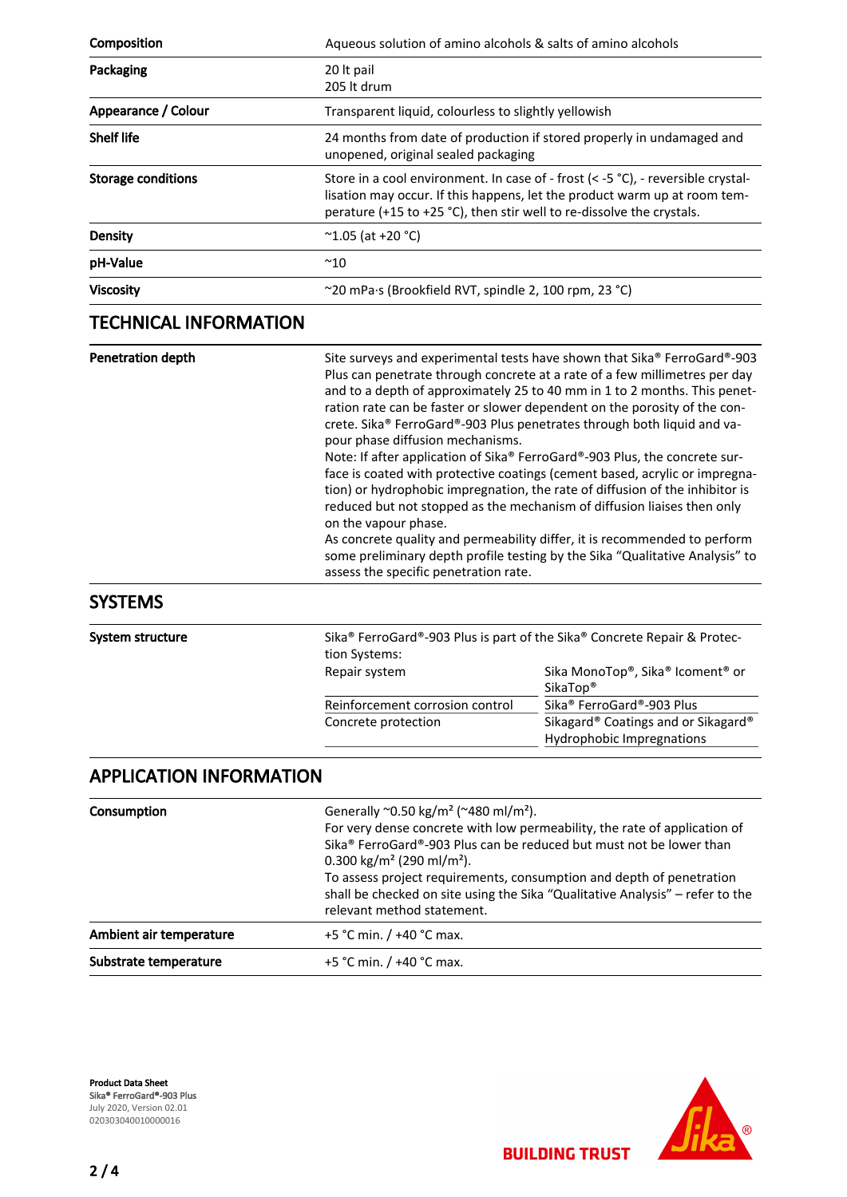| Composition               | Aqueous solution of amino alcohols & salts of amino alcohols                                                                                                                                                                              |
|---------------------------|-------------------------------------------------------------------------------------------------------------------------------------------------------------------------------------------------------------------------------------------|
| Packaging                 | 20 It pail<br>205 lt drum                                                                                                                                                                                                                 |
| Appearance / Colour       | Transparent liquid, colourless to slightly yellowish                                                                                                                                                                                      |
| <b>Shelf life</b>         | 24 months from date of production if stored properly in undamaged and<br>unopened, original sealed packaging                                                                                                                              |
| <b>Storage conditions</b> | Store in a cool environment. In case of - frost ( $<$ -5 °C), - reversible crystal-<br>lisation may occur. If this happens, let the product warm up at room tem-<br>perature (+15 to +25 °C), then stir well to re-dissolve the crystals. |
| <b>Density</b>            | $^{\circ}$ 1.05 (at +20 °C)                                                                                                                                                                                                               |
| pH-Value                  | $^{\sim}$ 10                                                                                                                                                                                                                              |
| <b>Viscosity</b>          | ~20 mPa·s (Brookfield RVT, spindle 2, 100 rpm, 23 °C)                                                                                                                                                                                     |
|                           |                                                                                                                                                                                                                                           |

# TECHNICAL INFORMATION

| <b>Penetration depth</b> | Site surveys and experimental tests have shown that Sika® FerroGard®-903<br>Plus can penetrate through concrete at a rate of a few millimetres per day<br>and to a depth of approximately 25 to 40 mm in 1 to 2 months. This penet-<br>ration rate can be faster or slower dependent on the porosity of the con-<br>crete. Sika® FerroGard®-903 Plus penetrates through both liquid and va-<br>pour phase diffusion mechanisms.<br>Note: If after application of Sika® FerroGard®-903 Plus, the concrete sur-<br>face is coated with protective coatings (cement based, acrylic or impregna-<br>tion) or hydrophobic impregnation, the rate of diffusion of the inhibitor is<br>reduced but not stopped as the mechanism of diffusion liaises then only<br>on the vapour phase.<br>As concrete quality and permeability differ, it is recommended to perform<br>some preliminary depth profile testing by the Sika "Qualitative Analysis" to<br>assess the specific penetration rate. |
|--------------------------|---------------------------------------------------------------------------------------------------------------------------------------------------------------------------------------------------------------------------------------------------------------------------------------------------------------------------------------------------------------------------------------------------------------------------------------------------------------------------------------------------------------------------------------------------------------------------------------------------------------------------------------------------------------------------------------------------------------------------------------------------------------------------------------------------------------------------------------------------------------------------------------------------------------------------------------------------------------------------------------|
|--------------------------|---------------------------------------------------------------------------------------------------------------------------------------------------------------------------------------------------------------------------------------------------------------------------------------------------------------------------------------------------------------------------------------------------------------------------------------------------------------------------------------------------------------------------------------------------------------------------------------------------------------------------------------------------------------------------------------------------------------------------------------------------------------------------------------------------------------------------------------------------------------------------------------------------------------------------------------------------------------------------------------|

SYSTEMS

System structure

|                                 | Sika <sup>®</sup> FerroGard <sup>®</sup> -903 Plus is part of the Sika <sup>®</sup> Concrete Repair & Protec- |
|---------------------------------|---------------------------------------------------------------------------------------------------------------|
| tion Systems:                   |                                                                                                               |
| Repair system                   | Sika MonoTop®, Sika® Icoment® or                                                                              |
|                                 | SikaTop <sup>®</sup>                                                                                          |
| Reinforcement corrosion control | Sika® FerroGard®-903 Plus                                                                                     |
| Concrete protection             | Sikagard® Coatings and or Sikagard®                                                                           |
|                                 | Hydrophobic Impregnations                                                                                     |

**BUILDING TRUST** 

## APPLICATION INFORMATION

| Consumption             | Generally $^{\sim}$ 0.50 kg/m <sup>2</sup> ( $^{\sim}$ 480 ml/m <sup>2</sup> ).<br>For very dense concrete with low permeability, the rate of application of<br>Sika <sup>®</sup> FerroGard®-903 Plus can be reduced but must not be lower than<br>0.300 kg/m <sup>2</sup> (290 ml/m <sup>2</sup> ).<br>To assess project requirements, consumption and depth of penetration<br>shall be checked on site using the Sika "Qualitative Analysis" - refer to the<br>relevant method statement. |
|-------------------------|---------------------------------------------------------------------------------------------------------------------------------------------------------------------------------------------------------------------------------------------------------------------------------------------------------------------------------------------------------------------------------------------------------------------------------------------------------------------------------------------|
| Ambient air temperature | +5 °C min. $/$ +40 °C max.                                                                                                                                                                                                                                                                                                                                                                                                                                                                  |
| Substrate temperature   | +5 °C min. $/$ +40 °C max.                                                                                                                                                                                                                                                                                                                                                                                                                                                                  |

Product Data Sheet Sika® FerroGard®-903 Plus July 2020, Version 02.01 020303040010000016

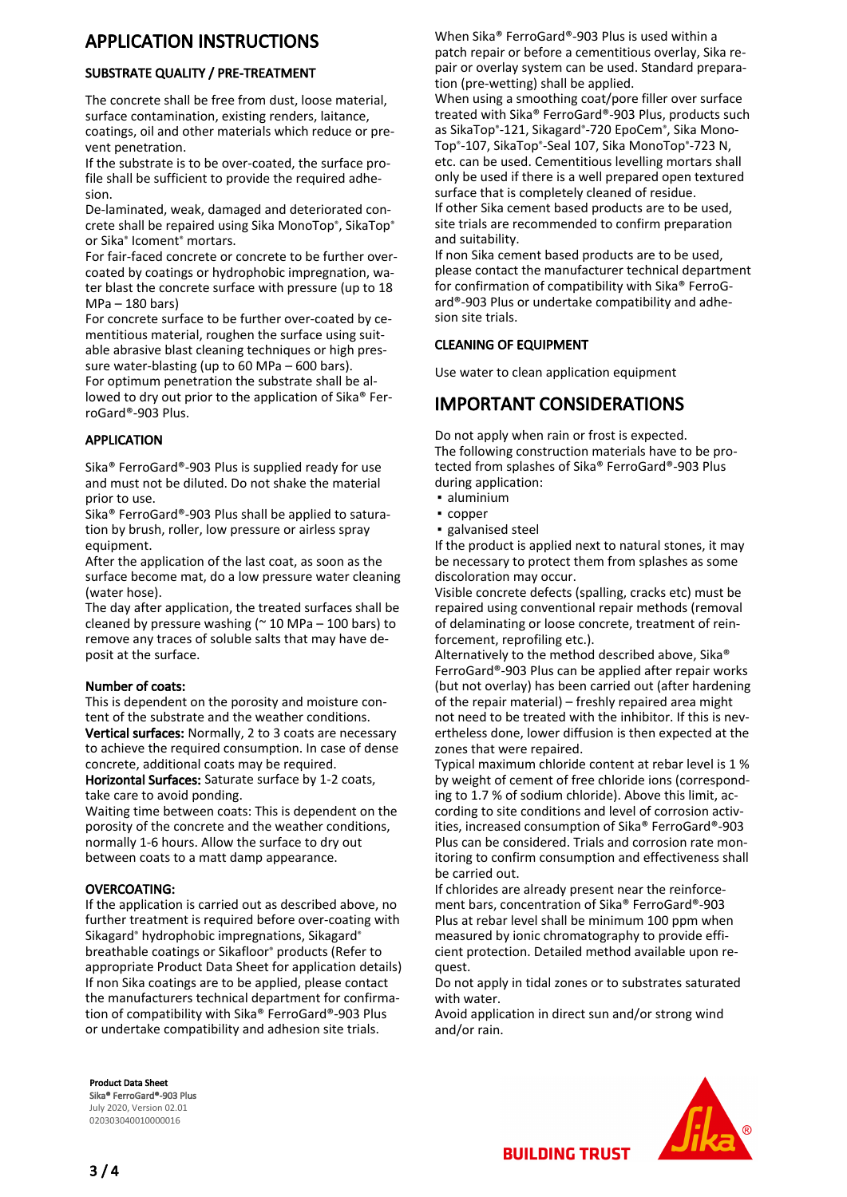## APPLICATION INSTRUCTIONS

#### SUBSTRATE QUALITY / PRE-TREATMENT

The concrete shall be free from dust, loose material, surface contamination, existing renders, laitance, coatings, oil and other materials which reduce or prevent penetration.

If the substrate is to be over-coated, the surface profile shall be sufficient to provide the required adhesion.

De-laminated, weak, damaged and deteriorated concrete shall be repaired using Sika MonoTop®, SikaTop® or Sika® Icoment® mortars.

For fair-faced concrete or concrete to be further overcoated by coatings or hydrophobic impregnation, water blast the concrete surface with pressure (up to 18 MPa – 180 bars)

For concrete surface to be further over-coated by cementitious material, roughen the surface using suitable abrasive blast cleaning techniques or high pressure water-blasting (up to 60 MPa – 600 bars). For optimum penetration the substrate shall be al-

lowed to dry out prior to the application of Sika® FerroGard®-903 Plus.

#### APPLICATION

Sika® FerroGard®-903 Plus is supplied ready for use and must not be diluted. Do not shake the material prior to use.

Sika® FerroGard®-903 Plus shall be applied to saturation by brush, roller, low pressure or airless spray equipment.

After the application of the last coat, as soon as the surface become mat, do a low pressure water cleaning (water hose).

The day after application, the treated surfaces shall be cleaned by pressure washing ( $\approx$  10 MPa – 100 bars) to remove any traces of soluble salts that may have deposit at the surface.

#### Number of coats:

This is dependent on the porosity and moisture content of the substrate and the weather conditions.

Vertical surfaces: Normally, 2 to 3 coats are necessary to achieve the required consumption. In case of dense concrete, additional coats may be required.

Horizontal Surfaces: Saturate surface by 1-2 coats, take care to avoid ponding.

Waiting time between coats: This is dependent on the porosity of the concrete and the weather conditions, normally 1-6 hours. Allow the surface to dry out between coats to a matt damp appearance.

#### OVERCOATING:

If the application is carried out as described above, no further treatment is required before over-coating with Sikagard® hydrophobic impregnations, Sikagard® breathable coatings or Sikafloor® products (Refer to appropriate Product Data Sheet for application details) If non Sika coatings are to be applied, please contact the manufacturers technical department for confirmation of compatibility with Sika® FerroGard®-903 Plus or undertake compatibility and adhesion site trials.

Product Data Sheet Sika® FerroGard®-903 Plus July 2020, Version 02.01 020303040010000016

When Sika® FerroGard®-903 Plus is used within a patch repair or before a cementitious overlay, Sika repair or overlay system can be used. Standard preparation (pre-wetting) shall be applied.

When using a smoothing coat/pore filler over surface treated with Sika® FerroGard®-903 Plus, products such as SikaTop®-121, Sikagard®-720 EpoCem®, Sika Mono-Top®-107, SikaTop®-Seal 107, Sika MonoTop®-723 N, etc. can be used. Cementitious levelling mortars shall only be used if there is a well prepared open textured surface that is completely cleaned of residue. If other Sika cement based products are to be used, site trials are recommended to confirm preparation and suitability.

If non Sika cement based products are to be used, please contact the manufacturer technical department for confirmation of compatibility with Sika® FerroGard®-903 Plus or undertake compatibility and adhesion site trials.

#### CLEANING OF EQUIPMENT

Use water to clean application equipment

# IMPORTANT CONSIDERATIONS

Do not apply when rain or frost is expected. The following construction materials have to be protected from splashes of Sika® FerroGard®-903 Plus during application:

- aluminium
- copper
- galvanised steel

If the product is applied next to natural stones, it may be necessary to protect them from splashes as some discoloration may occur.

Visible concrete defects (spalling, cracks etc) must be repaired using conventional repair methods (removal of delaminating or loose concrete, treatment of reinforcement, reprofiling etc.).

Alternatively to the method described above, Sika® FerroGard®-903 Plus can be applied after repair works (but not overlay) has been carried out (after hardening of the repair material) – freshly repaired area might not need to be treated with the inhibitor. If this is nevertheless done, lower diffusion is then expected at the zones that were repaired.

Typical maximum chloride content at rebar level is 1 % by weight of cement of free chloride ions (corresponding to 1.7 % of sodium chloride). Above this limit, according to site conditions and level of corrosion activities, increased consumption of Sika® FerroGard®-903 Plus can be considered. Trials and corrosion rate monitoring to confirm consumption and effectiveness shall be carried out.

If chlorides are already present near the reinforcement bars, concentration of Sika® FerroGard®-903 Plus at rebar level shall be minimum 100 ppm when measured by ionic chromatography to provide efficient protection. Detailed method available upon request.

Do not apply in tidal zones or to substrates saturated with water.

Avoid application in direct sun and/or strong wind and/or rain.



**BUILDING TRUST**